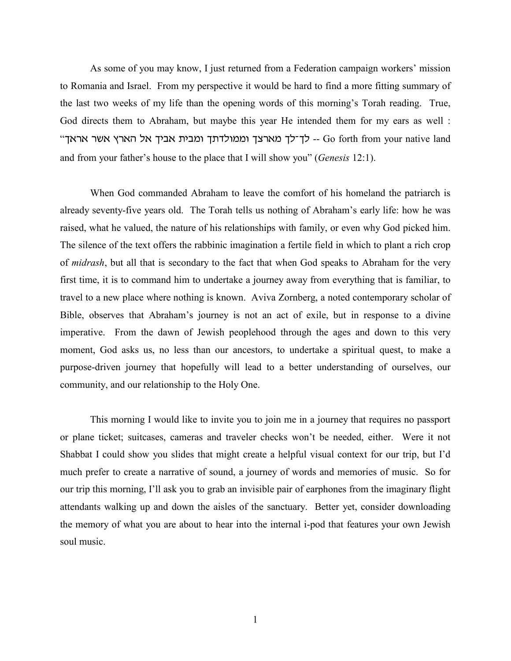As some of you may know, I just returned from a Federation campaign workers' mission to Romania and Israel. From my perspective it would be hard to find a more fitting summary of the last two weeks of my life than the opening words of this morning's Torah reading. True, God directs them to Abraham, but maybe this year He intended them for my ears as well : "הארץ אשר אראך Go forth from your native land -- לך־לך מארצך וממולדתך ומבית אביך אל הארץ אשר and from your father's house to the place that I will show you" (*Genesis* 12:1).

When God commanded Abraham to leave the comfort of his homeland the patriarch is already seventy-five years old. The Torah tells us nothing of Abraham's early life: how he was raised, what he valued, the nature of his relationships with family, or even why God picked him. The silence of the text offers the rabbinic imagination a fertile field in which to plant a rich crop of *midrash*, but all that is secondary to the fact that when God speaks to Abraham for the very first time, it is to command him to undertake a journey away from everything that is familiar, to travel to a new place where nothing is known. Aviva Zornberg, a noted contemporary scholar of Bible, observes that Abraham's journey is not an act of exile, but in response to a divine imperative. From the dawn of Jewish peoplehood through the ages and down to this very moment, God asks us, no less than our ancestors, to undertake a spiritual quest, to make a purpose-driven journey that hopefully will lead to a better understanding of ourselves, our community, and our relationship to the Holy One.

This morning I would like to invite you to join me in a journey that requires no passport or plane ticket; suitcases, cameras and traveler checks won't be needed, either. Were it not Shabbat I could show you slides that might create a helpful visual context for our trip, but I'd much prefer to create a narrative of sound, a journey of words and memories of music. So for our trip this morning, I'll ask you to grab an invisible pair of earphones from the imaginary flight attendants walking up and down the aisles of the sanctuary. Better yet, consider downloading the memory of what you are about to hear into the internal i-pod that features your own Jewish soul music.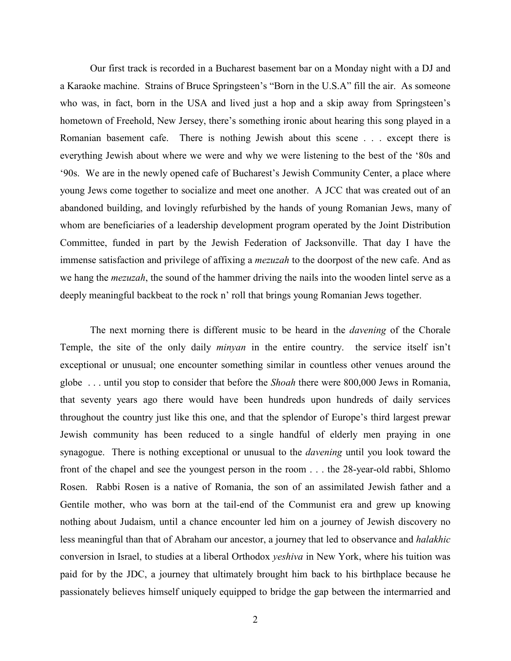Our first track is recorded in a Bucharest basement bar on a Monday night with a DJ and a Karaoke machine. Strains of Bruce Springsteen's "Born in the U.S.A" fill the air. As someone who was, in fact, born in the USA and lived just a hop and a skip away from Springsteen's hometown of Freehold, New Jersey, there's something ironic about hearing this song played in a Romanian basement cafe. There is nothing Jewish about this scene . . . except there is everything Jewish about where we were and why we were listening to the best of the '80s and '90s. We are in the newly opened cafe of Bucharest's Jewish Community Center, a place where young Jews come together to socialize and meet one another. A JCC that was created out of an abandoned building, and lovingly refurbished by the hands of young Romanian Jews, many of whom are beneficiaries of a leadership development program operated by the Joint Distribution Committee, funded in part by the Jewish Federation of Jacksonville. That day I have the immense satisfaction and privilege of affixing a *mezuzah* to the doorpost of the new cafe. And as we hang the *mezuzah*, the sound of the hammer driving the nails into the wooden lintel serve as a deeply meaningful backbeat to the rock n' roll that brings young Romanian Jews together.

The next morning there is different music to be heard in the *davening* of the Chorale Temple, the site of the only daily *minyan* in the entire country. the service itself isn't exceptional or unusual; one encounter something similar in countless other venues around the globe . . . until you stop to consider that before the *Shoah* there were 800,000 Jews in Romania, that seventy years ago there would have been hundreds upon hundreds of daily services throughout the country just like this one, and that the splendor of Europe's third largest prewar Jewish community has been reduced to a single handful of elderly men praying in one synagogue. There is nothing exceptional or unusual to the *davening* until you look toward the front of the chapel and see the youngest person in the room . . . the 28-year-old rabbi, Shlomo Rosen. Rabbi Rosen is a native of Romania, the son of an assimilated Jewish father and a Gentile mother, who was born at the tail-end of the Communist era and grew up knowing nothing about Judaism, until a chance encounter led him on a journey of Jewish discovery no less meaningful than that of Abraham our ancestor, a journey that led to observance and *halakhic* conversion in Israel, to studies at a liberal Orthodox *yeshiva* in New York, where his tuition was paid for by the JDC, a journey that ultimately brought him back to his birthplace because he passionately believes himself uniquely equipped to bridge the gap between the intermarried and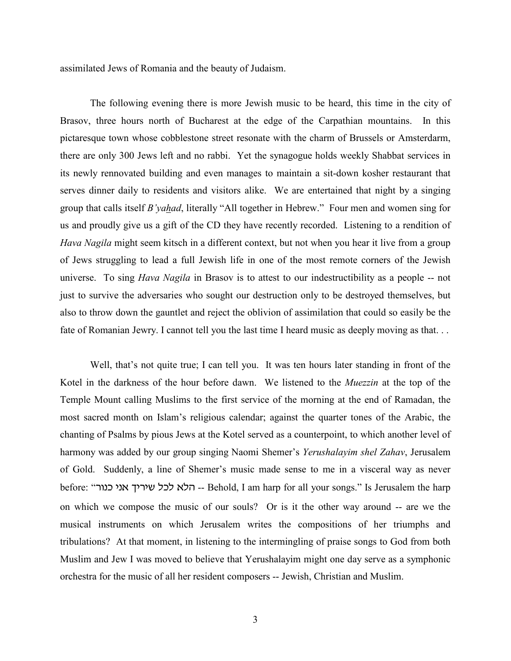assimilated Jews of Romania and the beauty of Judaism.

The following evening there is more Jewish music to be heard, this time in the city of Brasov, three hours north of Bucharest at the edge of the Carpathian mountains. In this pictaresque town whose cobblestone street resonate with the charm of Brussels or Amsterdarm, there are only 300 Jews left and no rabbi. Yet the synagogue holds weekly Shabbat services in its newly rennovated building and even manages to maintain a sit-down kosher restaurant that serves dinner daily to residents and visitors alike. We are entertained that night by a singing group that calls itself *B'yahad*, literally "All together in Hebrew." Four men and women sing for us and proudly give us a gift of the CD they have recently recorded. Listening to a rendition of *Hava Nagila* might seem kitsch in a different context, but not when you hear it live from a group of Jews struggling to lead a full Jewish life in one of the most remote corners of the Jewish universe. To sing *Hava Nagila* in Brasov is to attest to our indestructibility as a people -- not just to survive the adversaries who sought our destruction only to be destroyed themselves, but also to throw down the gauntlet and reject the oblivion of assimilation that could so easily be the fate of Romanian Jewry. I cannot tell you the last time I heard music as deeply moving as that. . .

Well, that's not quite true; I can tell you. It was ten hours later standing in front of the Kotel in the darkness of the hour before dawn. We listened to the *Muezzin* at the top of the Temple Mount calling Muslims to the first service of the morning at the end of Ramadan, the most sacred month on Islam's religious calendar; against the quarter tones of the Arabic, the chanting of Psalms by pious Jews at the Kotel served as a counterpoint, to which another level of harmony was added by our group singing Naomi Shemer's *Yerushalayim shel Zahav*, Jerusalem of Gold. Suddenly, a line of Shemer's music made sense to me in a visceral way as never before: "הלא לכל שיריך אני כנור -- Behold, I am harp for all your songs." Is Jerusalem the harp on which we compose the music of our souls? Or is it the other way around -- are we the musical instruments on which Jerusalem writes the compositions of her triumphs and tribulations? At that moment, in listening to the intermingling of praise songs to God from both Muslim and Jew I was moved to believe that Yerushalayim might one day serve as a symphonic orchestra for the music of all her resident composers -- Jewish, Christian and Muslim.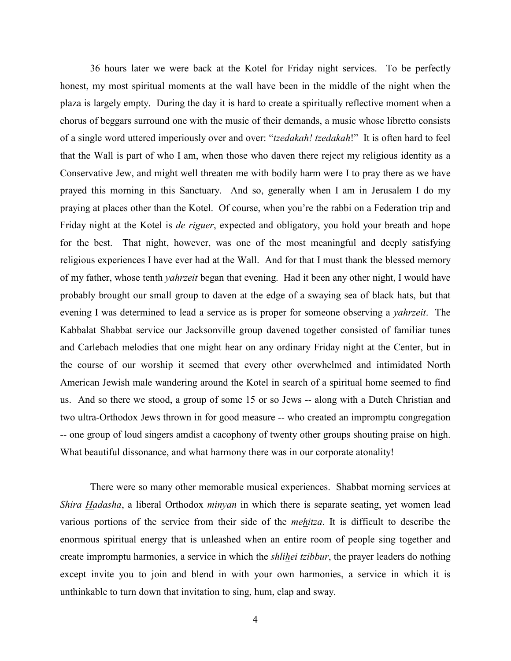36 hours later we were back at the Kotel for Friday night services. To be perfectly honest, my most spiritual moments at the wall have been in the middle of the night when the plaza is largely empty. During the day it is hard to create a spiritually reflective moment when a chorus of beggars surround one with the music of their demands, a music whose libretto consists of a single word uttered imperiously over and over: "*tzedakah! tzedakah*!" It is often hard to feel that the Wall is part of who I am, when those who daven there reject my religious identity as a Conservative Jew, and might well threaten me with bodily harm were I to pray there as we have prayed this morning in this Sanctuary. And so, generally when I am in Jerusalem I do my praying at places other than the Kotel. Of course, when you're the rabbi on a Federation trip and Friday night at the Kotel is *de riguer*, expected and obligatory, you hold your breath and hope for the best. That night, however, was one of the most meaningful and deeply satisfying religious experiences I have ever had at the Wall. And for that I must thank the blessed memory of my father, whose tenth *yahrzeit* began that evening. Had it been any other night, I would have probably brought our small group to daven at the edge of a swaying sea of black hats, but that evening I was determined to lead a service as is proper for someone observing a *yahrzeit*. The Kabbalat Shabbat service our Jacksonville group davened together consisted of familiar tunes and Carlebach melodies that one might hear on any ordinary Friday night at the Center, but in the course of our worship it seemed that every other overwhelmed and intimidated North American Jewish male wandering around the Kotel in search of a spiritual home seemed to find us. And so there we stood, a group of some 15 or so Jews -- along with a Dutch Christian and two ultra-Orthodox Jews thrown in for good measure -- who created an impromptu congregation -- one group of loud singers amdist a cacophony of twenty other groups shouting praise on high. What beautiful dissonance, and what harmony there was in our corporate atonality!

There were so many other memorable musical experiences. Shabbat morning services at *Shira Hadasha*, a liberal Orthodox *minyan* in which there is separate seating, yet women lead various portions of the service from their side of the *mehitza*. It is difficult to describe the enormous spiritual energy that is unleashed when an entire room of people sing together and create impromptu harmonies, a service in which the *shlihei tzibbur*, the prayer leaders do nothing except invite you to join and blend in with your own harmonies, a service in which it is unthinkable to turn down that invitation to sing, hum, clap and sway.